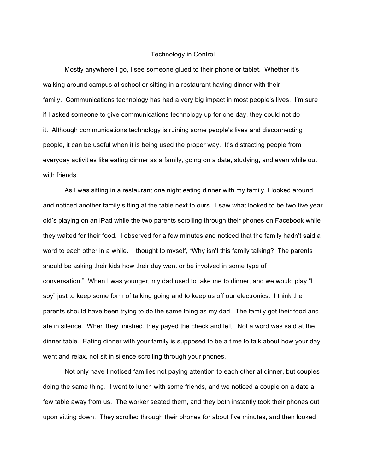## Technology in Control

Mostly anywhere I go, I see someone glued to their phone or tablet. Whether it's walking around campus at school or sitting in a restaurant having dinner with their family. Communications technology has had a very big impact in most people's lives. I'm sure if I asked someone to give communications technology up for one day, they could not do it. Although communications technology is ruining some people's lives and disconnecting people, it can be useful when it is being used the proper way. It's distracting people from everyday activities like eating dinner as a family, going on a date, studying, and even while out with friends.

As I was sitting in a restaurant one night eating dinner with my family, I looked around and noticed another family sitting at the table next to ours. I saw what looked to be two five year old's playing on an iPad while the two parents scrolling through their phones on Facebook while they waited for their food. I observed for a few minutes and noticed that the family hadn't said a word to each other in a while. I thought to myself, "Why isn't this family talking? The parents should be asking their kids how their day went or be involved in some type of conversation." When I was younger, my dad used to take me to dinner, and we would play "I spy" just to keep some form of talking going and to keep us off our electronics. I think the parents should have been trying to do the same thing as my dad. The family got their food and ate in silence. When they finished, they payed the check and left. Not a word was said at the dinner table. Eating dinner with your family is supposed to be a time to talk about how your day went and relax, not sit in silence scrolling through your phones.

Not only have I noticed families not paying attention to each other at dinner, but couples doing the same thing. I went to lunch with some friends, and we noticed a couple on a date a few table away from us. The worker seated them, and they both instantly took their phones out upon sitting down. They scrolled through their phones for about five minutes, and then looked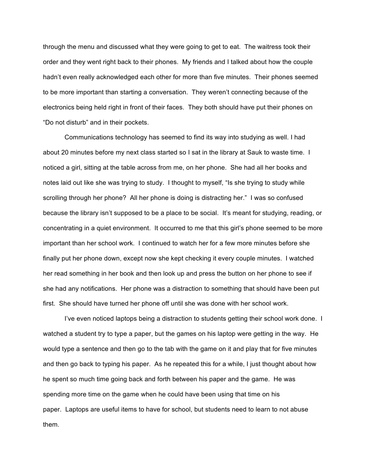through the menu and discussed what they were going to get to eat. The waitress took their order and they went right back to their phones. My friends and I talked about how the couple hadn't even really acknowledged each other for more than five minutes. Their phones seemed to be more important than starting a conversation. They weren't connecting because of the electronics being held right in front of their faces. They both should have put their phones on "Do not disturb" and in their pockets.

Communications technology has seemed to find its way into studying as well. I had about 20 minutes before my next class started so I sat in the library at Sauk to waste time. I noticed a girl, sitting at the table across from me, on her phone. She had all her books and notes laid out like she was trying to study. I thought to myself, "Is she trying to study while scrolling through her phone? All her phone is doing is distracting her." I was so confused because the library isn't supposed to be a place to be social. It's meant for studying, reading, or concentrating in a quiet environment. It occurred to me that this girl's phone seemed to be more important than her school work. I continued to watch her for a few more minutes before she finally put her phone down, except now she kept checking it every couple minutes. I watched her read something in her book and then look up and press the button on her phone to see if she had any notifications. Her phone was a distraction to something that should have been put first. She should have turned her phone off until she was done with her school work.

I've even noticed laptops being a distraction to students getting their school work done. I watched a student try to type a paper, but the games on his laptop were getting in the way. He would type a sentence and then go to the tab with the game on it and play that for five minutes and then go back to typing his paper. As he repeated this for a while, I just thought about how he spent so much time going back and forth between his paper and the game. He was spending more time on the game when he could have been using that time on his paper. Laptops are useful items to have for school, but students need to learn to not abuse them.